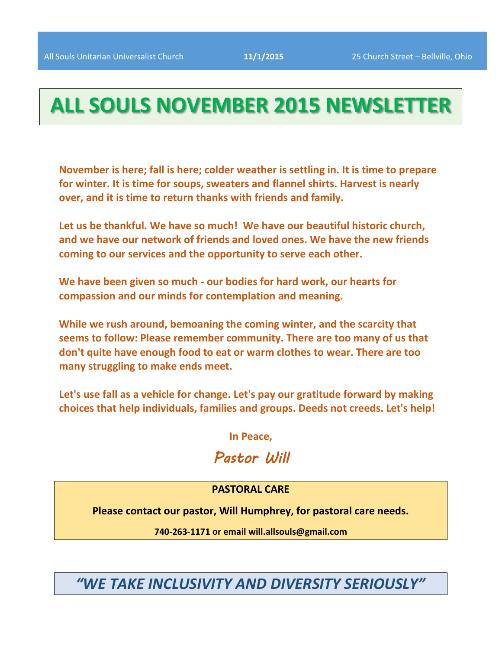# **ALL SOULS NOVEMBER 2015 NEWSLETTER**

**November is here; fall is here; colder weather is settling in. It is time to prepare for winter. It is time for soups, sweaters and flannel shirts. Harvest is nearly over, and it is time to return thanks with friends and family.** 

**Let us be thankful. We have so much! We have our beautiful historic church, and we have our network of friends and loved ones. We have the new friends coming to our services and the opportunity to serve each other.** 

**We have been given so much - our bodies for hard work, our hearts for compassion and our minds for contemplation and meaning.** 

**While we rush around, bemoaning the coming winter, and the scarcity that seems to follow: Please remember community. There are too many of us that don't quite have enough food to eat or warm clothes to wear. There are too many struggling to make ends meet.**

**Let's use fall as a vehicle for change. Let's pay our gratitude forward by making choices that help individuals, families and groups. Deeds not creeds. Let's help!**

**In Peace,**

# *Pastor Will*

### **PASTORAL CARE**

**Please contact our pastor, Will Humphrey, for pastoral care needs.**

**740-263-1171 or email will.allsouls@gmail.com**

*"WE TAKE INCLUSIVITY AND DIVERSITY SERIOUSLY"*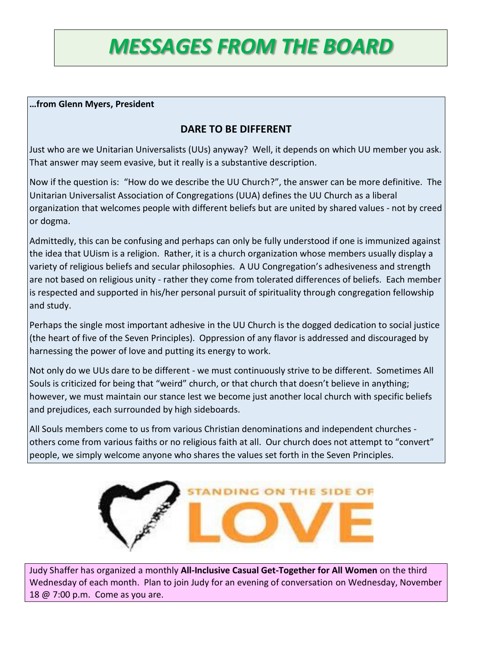# *MESSAGES FROM THE BOARD*

### **…from Glenn Myers, President**

# **DARE TO BE DIFFERENT**

Just who are we Unitarian Universalists (UUs) anyway? Well, it depends on which UU member you ask. That answer may seem evasive, but it really is a substantive description.

Now if the question is: "How do we describe the UU Church?", the answer can be more definitive. The Unitarian Universalist Association of Congregations (UUA) defines the UU Church as a liberal organization that welcomes people with different beliefs but are united by shared values - not by creed or dogma.

Admittedly, this can be confusing and perhaps can only be fully understood if one is immunized against the idea that UUism is a religion. Rather, it is a church organization whose members usually display a variety of religious beliefs and secular philosophies. A UU Congregation's adhesiveness and strength are not based on religious unity - rather they come from tolerated differences of beliefs. Each member is respected and supported in his/her personal pursuit of spirituality through congregation fellowship and study.

Perhaps the single most important adhesive in the UU Church is the dogged dedication to social justice (the heart of five of the Seven Principles). Oppression of any flavor is addressed and discouraged by harnessing the power of love and putting its energy to work.

Not only do we UUs dare to be different - we must continuously strive to be different. Sometimes All Souls is criticized for being that "weird" church, or that church that doesn't believe in anything; however, we must maintain our stance lest we become just another local church with specific beliefs and prejudices, each surrounded by high sideboards.

All Souls members come to us from various Christian denominations and independent churches others come from various faiths or no religious faith at all. Our church does not attempt to "convert" people, we simply welcome anyone who shares the values set forth in the Seven Principles.



Judy Shaffer has organized a monthly **All-Inclusive Casual Get-Together for All Women** on the third Wednesday of each month. Plan to join Judy for an evening of conversation on Wednesday, November 18 @ 7:00 p.m. Come as you are.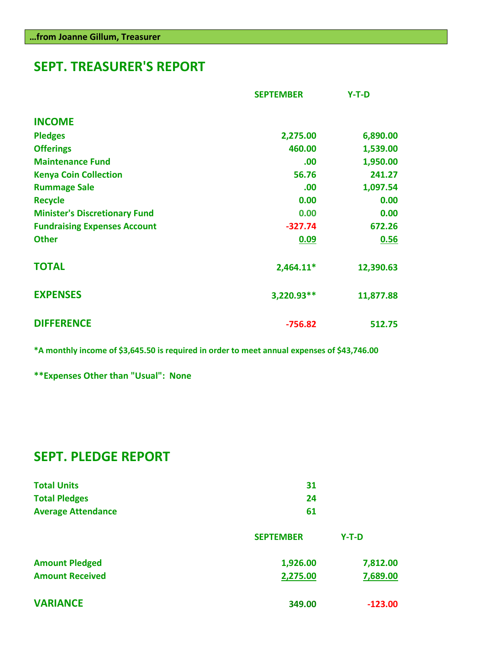# **SEPT. TREASURER'S REPORT**

|                                      | <b>SEPTEMBER</b> | $Y-T-D$   |
|--------------------------------------|------------------|-----------|
| <b>INCOME</b>                        |                  |           |
| <b>Pledges</b>                       | 2,275.00         | 6,890.00  |
| <b>Offerings</b>                     | 460.00           | 1,539.00  |
| <b>Maintenance Fund</b>              | .00              | 1,950.00  |
| <b>Kenya Coin Collection</b>         | 56.76            | 241.27    |
| <b>Rummage Sale</b>                  | .00.             | 1,097.54  |
| <b>Recycle</b>                       | 0.00             | 0.00      |
| <b>Minister's Discretionary Fund</b> | 0.00             | 0.00      |
| <b>Fundraising Expenses Account</b>  | $-327.74$        | 672.26    |
| <b>Other</b>                         | 0.09             | 0.56      |
| <b>TOTAL</b>                         | $2,464.11*$      | 12,390.63 |
| <b>EXPENSES</b>                      | 3,220.93**       | 11,877.88 |
| <b>DIFFERENCE</b>                    | $-756.82$        | 512.75    |

**\*A monthly income of \$3,645.50 is required in order to meet annual expenses of \$43,746.00**

**\*\*Expenses Other than "Usual": None**

# **SEPT. PLEDGE REPORT**

| <b>Total Units</b>        | -31 |
|---------------------------|-----|
| <b>Total Pledges</b>      | -24 |
| <b>Average Attendance</b> | 61  |

|                        | <b>SEPTEMBER</b> | $Y-T-D$   |
|------------------------|------------------|-----------|
| <b>Amount Pledged</b>  | 1,926.00         | 7,812.00  |
| <b>Amount Received</b> | 2,275.00         | 7,689.00  |
| <b>VARIANCE</b>        | 349.00           | $-123.00$ |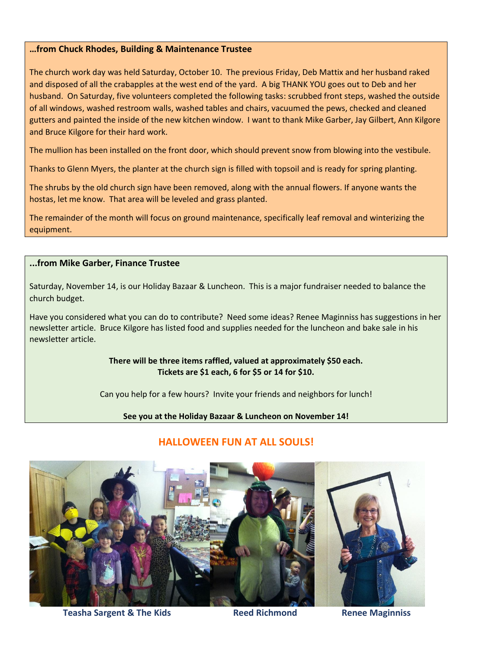#### **…from Chuck Rhodes, Building & Maintenance Trustee**

The church work day was held Saturday, October 10. The previous Friday, Deb Mattix and her husband raked and disposed of all the crabapples at the west end of the yard. A big THANK YOU goes out to Deb and her husband. On Saturday, five volunteers completed the following tasks: scrubbed front steps, washed the outside of all windows, washed restroom walls, washed tables and chairs, vacuumed the pews, checked and cleaned gutters and painted the inside of the new kitchen window. I want to thank Mike Garber, Jay Gilbert, Ann Kilgore and Bruce Kilgore for their hard work.

The mullion has been installed on the front door, which should prevent snow from blowing into the vestibule.

Thanks to Glenn Myers, the planter at the church sign is filled with topsoil and is ready for spring planting.

The shrubs by the old church sign have been removed, along with the annual flowers. If anyone wants the hostas, let me know. That area will be leveled and grass planted.

The remainder of the month will focus on ground maintenance, specifically leaf removal and winterizing the equipment.

#### **...from Mike Garber, Finance Trustee**

Saturday, November 14, is our Holiday Bazaar & Luncheon. This is a major fundraiser needed to balance the church budget.

Have you considered what you can do to contribute? Need some ideas? Renee Maginniss has suggestions in her newsletter article. Bruce Kilgore has listed food and supplies needed for the luncheon and bake sale in his newsletter article.

> **There will be three items raffled, valued at approximately \$50 each. Tickets are \$1 each, 6 for \$5 or 14 for \$10.**

Can you help for a few hours? Invite your friends and neighbors for lunch!

**See you at the Holiday Bazaar & Luncheon on November 14!**

### **HALLOWEEN FUN AT ALL SOULS!**



**Teasha Sargent & The Kids There Reed Richmond Renee Maginniss**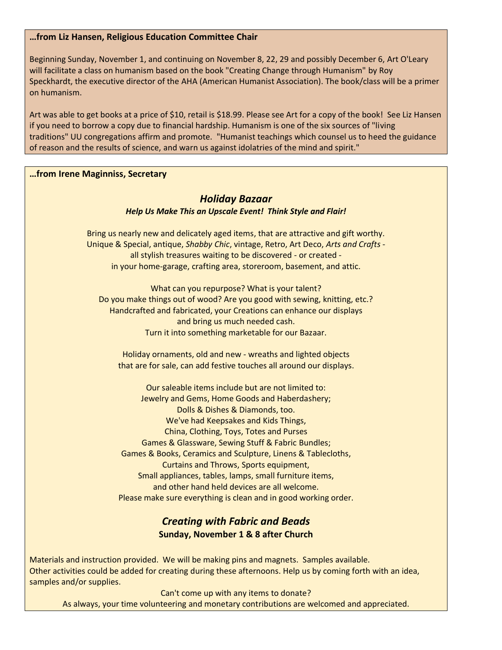#### **…from Liz Hansen, Religious Education Committee Chair**

Beginning Sunday, November 1, and continuing on November 8, 22, 29 and possibly December 6, Art O'Leary will facilitate a class on humanism based on the book "Creating Change through Humanism" by Roy Speckhardt, the executive director of the AHA (American Humanist Association). The book/class will be a primer on humanism.

Art was able to get books at a price of \$10, retail is \$18.99. Please see Art for a copy of the book! See Liz Hansen if you need to borrow a copy due to financial hardship. Humanism is one of the six sources of "living traditions" UU congregations affirm and promote. "Humanist teachings which counsel us to heed the guidance of reason and the results of science, and warn us against idolatries of the mind and spirit."

#### **…from Irene Maginniss, Secretary**

### *Holiday Bazaar*

#### *Help Us Make This an Upscale Event! Think Style and Flair!*

Bring us nearly new and delicately aged items, that are attractive and gift worthy. Unique & Special, antique, *Shabby Chic*, vintage, Retro, Art Deco, *Arts and Crafts* all stylish treasures waiting to be discovered - or created in your home-garage, crafting area, storeroom, basement, and attic.

What can you repurpose? What is your talent? Do you make things out of wood? Are you good with sewing, knitting, etc.? Handcrafted and fabricated, your Creations can enhance our displays and bring us much needed cash. Turn it into something marketable for our Bazaar.

Holiday ornaments, old and new - wreaths and lighted objects that are for sale, can add festive touches all around our displays.

Our saleable items include but are not limited to: Jewelry and Gems, Home Goods and Haberdashery; Dolls & Dishes & Diamonds, too. We've had Keepsakes and Kids Things, China, Clothing, Toys, Totes and Purses Games & Glassware, Sewing Stuff & Fabric Bundles; Games & Books, Ceramics and Sculpture, Linens & Tablecloths, Curtains and Throws, Sports equipment, Small appliances, tables, lamps, small furniture items, and other hand held devices are all welcome. Please make sure everything is clean and in good working order.

# *Creating with Fabric and Beads* **Sunday, November 1 & 8 after Church**

Materials and instruction provided. We will be making pins and magnets. Samples available. Other activities could be added for creating during these afternoons. Help us by coming forth with an idea, samples and/or supplies.

Can't come up with any items to donate? As always, your time volunteering and monetary contributions are welcomed and appreciated.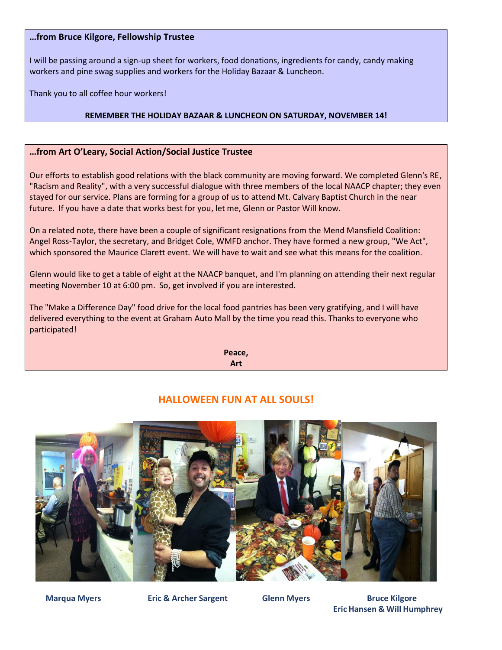#### **…from Bruce Kilgore, Fellowship Trustee**

I will be passing around a sign-up sheet for workers, food donations, ingredients for candy, candy making workers and pine swag supplies and workers for the Holiday Bazaar & Luncheon.

Thank you to all coffee hour workers!

#### **REMEMBER THE HOLIDAY BAZAAR & LUNCHEON ON SATURDAY, NOVEMBER 14!**

#### **…from Art O'Leary, Social Action/Social Justice Trustee**

Our efforts to establish good relations with the black community are moving forward. We completed Glenn's RE, "Racism and Reality", with a very successful dialogue with three members of the local NAACP chapter; they even stayed for our service. Plans are forming for a group of us to attend Mt. Calvary Baptist Church in the near future. If you have a date that works best for you, let me, Glenn or Pastor Will know.

On a related note, there have been a couple of significant resignations from the Mend Mansfield Coalition: Angel Ross-Taylor, the secretary, and Bridget Cole, WMFD anchor. They have formed a new group, "We Act", which sponsored the Maurice Clarett event. We will have to wait and see what this means for the coalition.

Glenn would like to get a table of eight at the NAACP banquet, and I'm planning on attending their next regular meeting November 10 at 6:00 pm. So, get involved if you are interested.

The "Make a Difference Day" food drive for the local food pantries has been very gratifying, and I will have delivered everything to the event at Graham Auto Mall by the time you read this. Thanks to everyone who participated!

> **Peace, Art**

# **HALLOWEEN FUN AT ALL SOULS!**



**Marqua Myers Carry Eric & Archer Sargent Collemn Myers Bruce Kilgore Eric Hansen & Will Humphrey**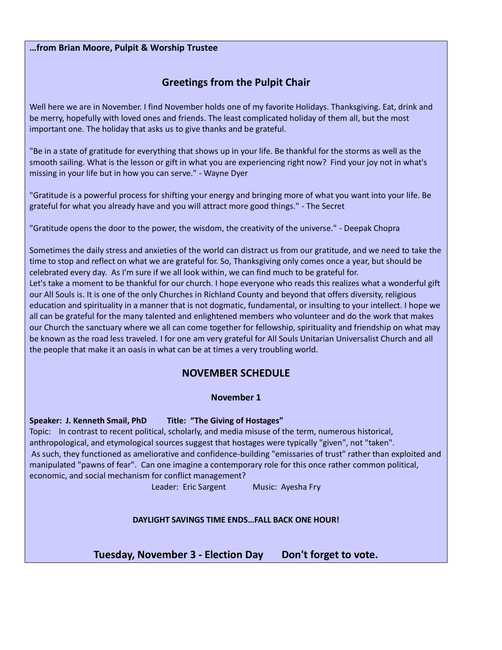#### **…from Brian Moore, Pulpit & Worship Trustee**

# **Greetings from the Pulpit Chair**

Well here we are in November. I find November holds one of my favorite Holidays. Thanksgiving. Eat, drink and be merry, hopefully with loved ones and friends. The least complicated holiday of them all, but the most important one. The holiday that asks us to give thanks and be grateful.

"Be in a state of gratitude for everything that shows up in your life. Be thankful for the storms as well as the smooth sailing. What is the lesson or gift in what you are experiencing right now? Find your joy not in what's missing in your life but in how you can serve." - Wayne Dyer

"Gratitude is a powerful process for shifting your energy and bringing more of what you want into your life. Be grateful for what you already have and you will attract more good things." - The Secret

"Gratitude opens the door to the power, the wisdom, the creativity of the universe." - Deepak Chopra

Sometimes the daily stress and anxieties of the world can distract us from our gratitude, and we need to take the time to stop and reflect on what we are grateful for. So, Thanksgiving only comes once a year, but should be celebrated every day. As I'm sure if we all look within, we can find much to be grateful for. Let's take a moment to be thankful for our church. I hope everyone who reads this realizes what a wonderful gift our All Souls is. It is one of the only Churches in Richland County and beyond that offers diversity, religious education and spirituality in a manner that is not dogmatic, fundamental, or insulting to your intellect. I hope we all can be grateful for the many talented and enlightened members who volunteer and do the work that makes our Church the sanctuary where we all can come together for fellowship, spirituality and friendship on what may be known as the road less traveled. I for one am very grateful for All Souls Unitarian Universalist Church and all the people that make it an oasis in what can be at times a very troubling world.

### **NOVEMBER SCHEDULE**

#### **November 1**

**Speaker: J. Kenneth Smail, PhD Title: "The Giving of Hostages"**

Topic: In contrast to recent political, scholarly, and media misuse of the term, numerous historical, anthropological, and etymological sources suggest that hostages were typically "given", not "taken". As such, they functioned as ameliorative and confidence-building "emissaries of trust" rather than exploited and manipulated "pawns of fear". Can one imagine a contemporary role for this once rather common political, economic, and social mechanism for conflict management?

Leader: Eric Sargent Music: Ayesha Fry

**DAYLIGHT SAVINGS TIME ENDS…FALL BACK ONE HOUR!**

Tuesday, November 3 - Election Day Don't forget to vote.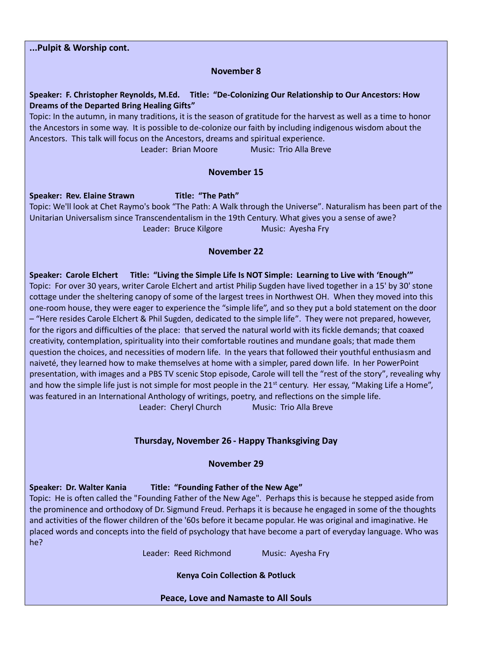**...Pulpit & Worship cont.**

#### **November 8**

**Speaker: F. Christopher Reynolds, M.Ed. Title: "De-Colonizing Our Relationship to Our Ancestors: How Dreams of the Departed Bring Healing Gifts"**

Topic: In the autumn, in many traditions, it is the season of gratitude for the harvest as well as a time to honor the Ancestors in some way. It is possible to de-colonize our faith by including indigenous wisdom about the Ancestors. This talk will focus on the Ancestors, dreams and spiritual experience.

Leader: Brian Moore Music: Trio Alla Breve

#### **November 15**

**Speaker: Rev. Elaine Strawn Title: "The Path"** Topic: We'll look at Chet Raymo's book "The Path: A Walk through the Universe". Naturalism has been part of the Unitarian Universalism since Transcendentalism in the 19th Century. What gives you a sense of awe? Leader: Bruce Kilgore Music: Ayesha Fry

#### **November 22**

**Speaker: Carole Elchert Title: "Living the Simple Life Is NOT Simple: Learning to Live with 'Enough'"** Topic: For over 30 years, writer Carole Elchert and artist Philip Sugden have lived together in a 15' by 30' stone cottage under the sheltering canopy of some of the largest trees in Northwest OH. When they moved into this one-room house, they were eager to experience the "simple life", and so they put a bold statement on the door – "Here resides Carole Elchert & Phil Sugden, dedicated to the simple life". They were not prepared, however, for the rigors and difficulties of the place: that served the natural world with its fickle demands; that coaxed creativity, contemplation, spirituality into their comfortable routines and mundane goals; that made them question the choices, and necessities of modern life. In the years that followed their youthful enthusiasm and naiveté, they learned how to make themselves at home with a simpler, pared down life. In her PowerPoint presentation, with images and a PBS TV scenic Stop episode, Carole will tell the "rest of the story", revealing why and how the simple life just is not simple for most people in the  $21<sup>st</sup>$  century. Her essay, "Making Life a Home", was featured in an International Anthology of writings, poetry, and reflections on the simple life. Leader: Cheryl Church Music: Trio Alla Breve

#### **Thursday, November 26 - Happy Thanksgiving Day**

#### **November 29**

**Speaker: Dr. Walter Kania Title: "Founding Father of the New Age"**

Topic: He is often called the "Founding Father of the New Age". Perhaps this is because he stepped aside from the prominence and orthodoxy of Dr. Sigmund Freud. Perhaps it is because he engaged in some of the thoughts and activities of the flower children of the '60s before it became popular. He was original and imaginative. He placed words and concepts into the field of psychology that have become a part of everyday language. Who was he?

Leader: Reed Richmond Music: Ayesha Fry

**Kenya Coin Collection & Potluck**

**Peace, Love and Namaste to All Souls**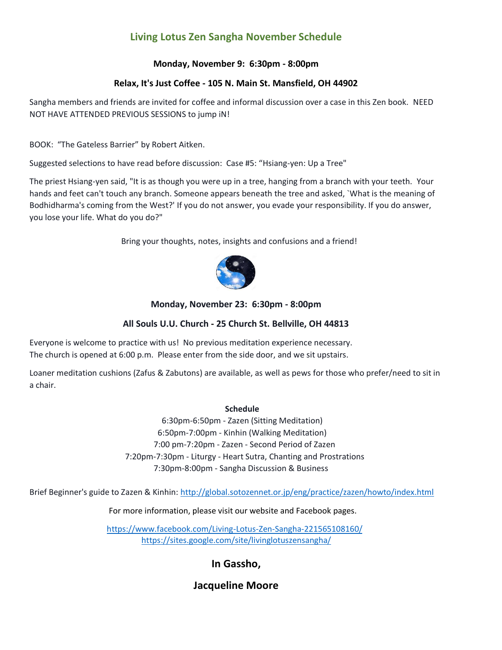# **Living Lotus Zen Sangha November Schedule**

#### **Monday, November 9: 6:30pm - 8:00pm**

#### **Relax, It's Just Coffee - 105 N. Main St. Mansfield, OH 44902**

Sangha members and friends are invited for coffee and informal discussion over a case in this Zen book. NEED NOT HAVE ATTENDED PREVIOUS SESSIONS to jump iN!

BOOK: "The Gateless Barrier" by Robert Aitken.

Suggested selections to have read before discussion: Case #5: "Hsiang-yen: Up a Tree"

The priest Hsiang-yen said, "It is as though you were up in a tree, hanging from a branch with your teeth. Your hands and feet can't touch any branch. Someone appears beneath the tree and asked, `What is the meaning of Bodhidharma's coming from the West?' If you do not answer, you evade your responsibility. If you do answer, you lose your life. What do you do?"

Bring your thoughts, notes, insights and confusions and a friend!



#### **Monday, November 23: 6:30pm - 8:00pm**

#### **All Souls U.U. Church - 25 Church St. Bellville, OH 44813**

Everyone is welcome to practice with us! No previous meditation experience necessary. The church is opened at 6:00 p.m. Please enter from the side door, and we sit upstairs.

Loaner meditation cushions (Zafus & Zabutons) are available, as well as pews for those who prefer/need to sit in a chair.

#### **Schedule**

 6:30pm-6:50pm - Zazen (Sitting Meditation) 6:50pm-7:00pm - Kinhin (Walking Meditation) 7:00 pm-7:20pm - Zazen - Second Period of Zazen 7:20pm-7:30pm - Liturgy - Heart Sutra, Chanting and Prostrations 7:30pm-8:00pm - Sangha Discussion & Business

Brief Beginner's guide to Zazen & Kinhin: <http://global.sotozennet.or.jp/eng/practice/zazen/howto/index.html>

For more information, please visit our website and Facebook pages.

 <https://www.facebook.com/Living-Lotus-Zen-Sangha-221565108160/> <https://sites.google.com/site/livinglotuszensangha/>

# **In Gassho,**

# **Jacqueline Moore**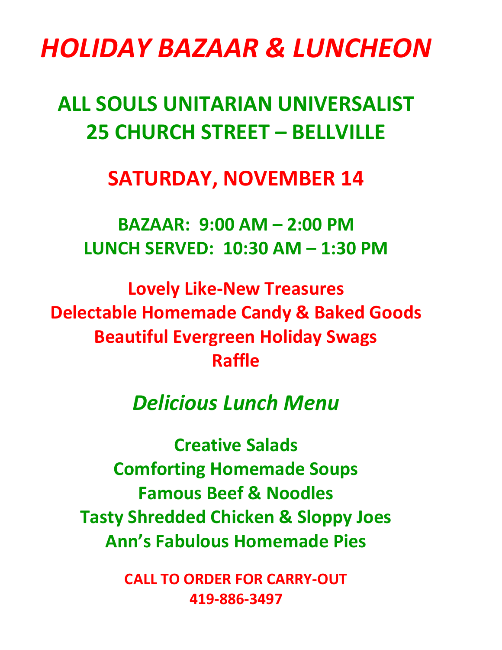# *HOLIDAY BAZAAR & LUNCHEON*

# **ALL SOULS UNITARIAN UNIVERSALIST 25 CHURCH STREET – BELLVILLE**

# **SATURDAY, NOVEMBER 14**

**BAZAAR: 9:00 AM – 2:00 PM LUNCH SERVED: 10:30 AM – 1:30 PM**

**Lovely Like-New Treasures Delectable Homemade Candy & Baked Goods Beautiful Evergreen Holiday Swags Raffle**

# *Delicious Lunch Menu*

**Creative Salads Comforting Homemade Soups Famous Beef & Noodles Tasty Shredded Chicken & Sloppy Joes Ann's Fabulous Homemade Pies**

> **CALL TO ORDER FOR CARRY-OUT 419-886-3497**